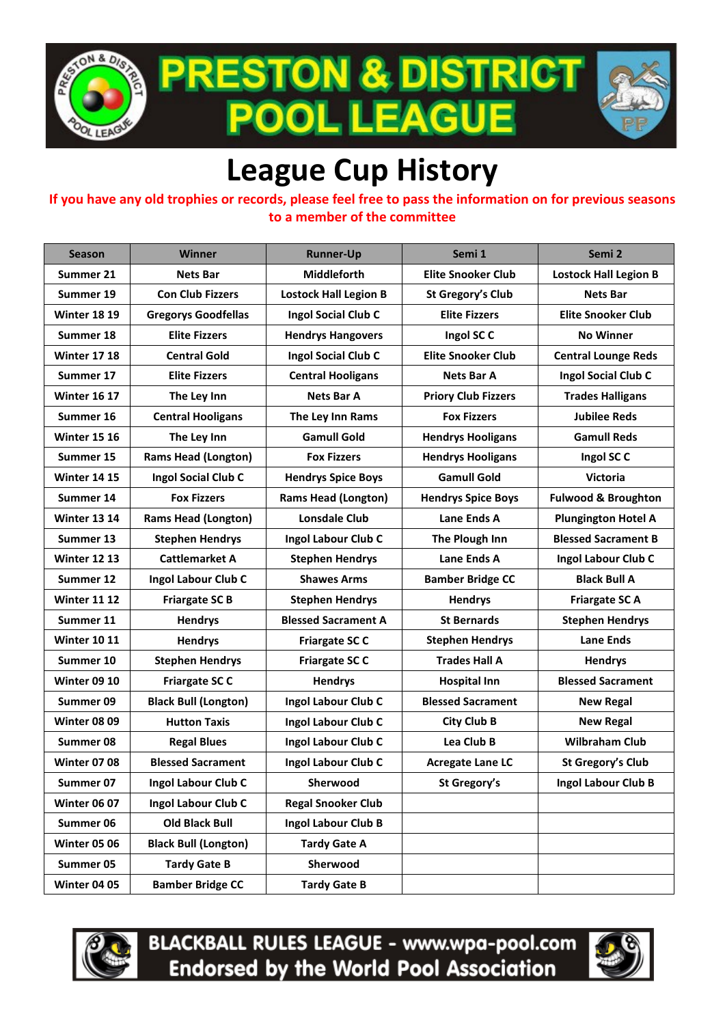

**PRESTON & DISTRICT . LEAGUE POOI** 



## **League Cup History**

## **If you have any old trophies or records, please feel free to pass the information on for previous seasons to a member of the committee**

| <b>Season</b>       | Winner                      | <b>Runner-Up</b>             | Semi 1                     | Semi 2                         |
|---------------------|-----------------------------|------------------------------|----------------------------|--------------------------------|
| Summer 21           | <b>Nets Bar</b>             | <b>Middleforth</b>           | <b>Elite Snooker Club</b>  | <b>Lostock Hall Legion B</b>   |
| Summer 19           | <b>Con Club Fizzers</b>     | <b>Lostock Hall Legion B</b> | St Gregory's Club          | <b>Nets Bar</b>                |
| <b>Winter 18 19</b> | <b>Gregorys Goodfellas</b>  | Ingol Social Club C          | <b>Elite Fizzers</b>       | <b>Elite Snooker Club</b>      |
| Summer 18           | <b>Elite Fizzers</b>        | <b>Hendrys Hangovers</b>     | Ingol SC C                 | <b>No Winner</b>               |
| <b>Winter 17 18</b> | <b>Central Gold</b>         | <b>Ingol Social Club C</b>   | <b>Elite Snooker Club</b>  | <b>Central Lounge Reds</b>     |
| Summer 17           | <b>Elite Fizzers</b>        | <b>Central Hooligans</b>     | <b>Nets Bar A</b>          | <b>Ingol Social Club C</b>     |
| <b>Winter 16 17</b> | The Ley Inn                 | <b>Nets Bar A</b>            | <b>Priory Club Fizzers</b> | <b>Trades Halligans</b>        |
| Summer 16           | <b>Central Hooligans</b>    | The Ley Inn Rams             | <b>Fox Fizzers</b>         | <b>Jubilee Reds</b>            |
| <b>Winter 15 16</b> | The Ley Inn                 | <b>Gamull Gold</b>           | <b>Hendrys Hooligans</b>   | <b>Gamull Reds</b>             |
| Summer 15           | <b>Rams Head (Longton)</b>  | <b>Fox Fizzers</b>           | <b>Hendrys Hooligans</b>   | Ingol SCC                      |
| <b>Winter 14 15</b> | <b>Ingol Social Club C</b>  | <b>Hendrys Spice Boys</b>    | <b>Gamull Gold</b>         | <b>Victoria</b>                |
| Summer 14           | <b>Fox Fizzers</b>          | <b>Rams Head (Longton)</b>   | <b>Hendrys Spice Boys</b>  | <b>Fulwood &amp; Broughton</b> |
| <b>Winter 13 14</b> | <b>Rams Head (Longton)</b>  | <b>Lonsdale Club</b>         | Lane Ends A                | <b>Plungington Hotel A</b>     |
| Summer 13           | <b>Stephen Hendrys</b>      | Ingol Labour Club C          | The Plough Inn             | <b>Blessed Sacrament B</b>     |
| <b>Winter 12 13</b> | <b>Cattlemarket A</b>       | <b>Stephen Hendrys</b>       | Lane Ends A                | Ingol Labour Club C            |
| Summer 12           | Ingol Labour Club C         | <b>Shawes Arms</b>           | <b>Bamber Bridge CC</b>    | <b>Black Bull A</b>            |
| <b>Winter 11 12</b> | <b>Friargate SC B</b>       | <b>Stephen Hendrys</b>       | <b>Hendrys</b>             | <b>Friargate SCA</b>           |
| Summer 11           | <b>Hendrys</b>              | <b>Blessed Sacrament A</b>   | <b>St Bernards</b>         | <b>Stephen Hendrys</b>         |
| <b>Winter 10 11</b> | <b>Hendrys</b>              | <b>Friargate SCC</b>         | <b>Stephen Hendrys</b>     | <b>Lane Ends</b>               |
| Summer 10           | <b>Stephen Hendrys</b>      | <b>Friargate SCC</b>         | <b>Trades Hall A</b>       | <b>Hendrys</b>                 |
| <b>Winter 09 10</b> | <b>Friargate SC C</b>       | <b>Hendrys</b>               | <b>Hospital Inn</b>        | <b>Blessed Sacrament</b>       |
| Summer 09           | <b>Black Bull (Longton)</b> | Ingol Labour Club C          | <b>Blessed Sacrament</b>   | <b>New Regal</b>               |
| <b>Winter 08 09</b> | <b>Hutton Taxis</b>         | Ingol Labour Club C          | <b>City Club B</b>         | <b>New Regal</b>               |
| Summer 08           | <b>Regal Blues</b>          | Ingol Labour Club C          | Lea Club B                 | <b>Wilbraham Club</b>          |
| <b>Winter 07 08</b> | <b>Blessed Sacrament</b>    | Ingol Labour Club C          | <b>Acregate Lane LC</b>    | St Gregory's Club              |
| Summer 07           | <b>Ingol Labour Club C</b>  | Sherwood                     | St Gregory's               | Ingol Labour Club B            |
| <b>Winter 06 07</b> | Ingol Labour Club C         | <b>Regal Snooker Club</b>    |                            |                                |
| Summer 06           | <b>Old Black Bull</b>       | Ingol Labour Club B          |                            |                                |
| <b>Winter 05 06</b> | <b>Black Bull (Longton)</b> | <b>Tardy Gate A</b>          |                            |                                |
| Summer 05           | <b>Tardy Gate B</b>         | Sherwood                     |                            |                                |
| <b>Winter 04 05</b> | <b>Bamber Bridge CC</b>     | <b>Tardy Gate B</b>          |                            |                                |



**BLACKBALL RULES LEAGUE - www.wpa-pool.com Endorsed by the World Pool Association**